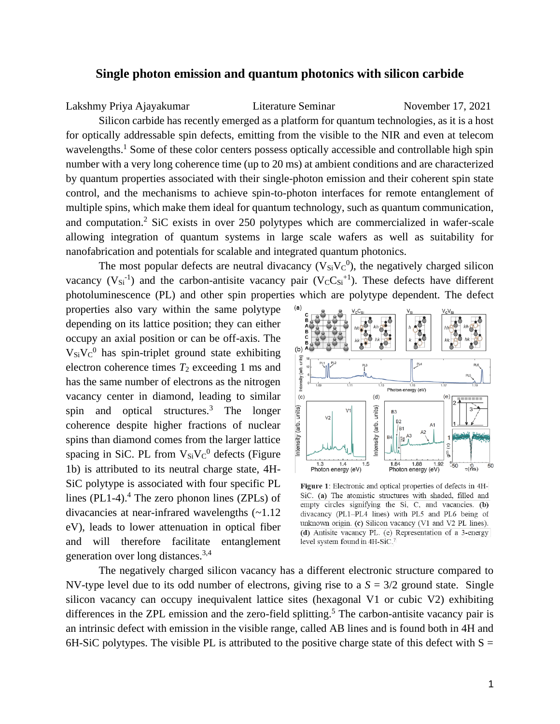## **Single photon emission and quantum photonics with silicon carbide**

Lakshmy Priya Ajayakumar Literature Seminar November 17, 2021

Silicon carbide has recently emerged as a platform for quantum technologies, as it is a host for optically addressable spin defects, emitting from the visible to the NIR and even at telecom wavelengths.<sup>1</sup> Some of these color centers possess optically accessible and controllable high spin number with a very long coherence time (up to 20 ms) at ambient conditions and are characterized by quantum properties associated with their single-photon emission and their coherent spin state control, and the mechanisms to achieve spin-to-photon interfaces for remote entanglement of multiple spins, which make them ideal for quantum technology, such as quantum communication, and computation.<sup>2</sup> SiC exists in over 250 polytypes which are commercialized in wafer-scale allowing integration of quantum systems in large scale wafers as well as suitability for nanofabrication and potentials for scalable and integrated quantum photonics.

The most popular defects are neutral divacancy  $(V_{Si}V_C^0)$ , the negatively charged silicon vacancy  $(V_{Si}^{-1})$  and the carbon-antisite vacancy pair  $(V_C C_{Si}^{-1})$ . These defects have different photoluminescence (PL) and other spin properties which are polytype dependent. The defect

properties also vary within the same polytype depending on its lattice position; they can either occupy an axial position or can be off-axis. The  $V_{Si}V_C{}^0$  has spin-triplet ground state exhibiting electron coherence times  $T_2$  exceeding 1 ms and has the same number of electrons as the nitrogen vacancy center in diamond, leading to similar spin and optical structures.<sup>3</sup> The longer coherence despite higher fractions of nuclear spins than diamond comes from the larger lattice spacing in SiC. PL from  $V_{Si}V_C{}^0$  defects (Figure 1b) is attributed to its neutral charge state, 4H-SiC polytype is associated with four specific PL lines (PL1-4). $4$  The zero phonon lines (ZPLs) of divacancies at near-infrared wavelengths (~1.12 eV), leads to lower attenuation in optical fiber and will therefore facilitate entanglement generation over long distances.3,4



Figure 1: Electronic and optical properties of defects in 4H-SiC. (a) The atomistic structures with shaded, filled and empty circles signifying the Si, C, and vacancies. (b) divacancy (PL1-PL4 lines) with PL5 and PL6 being of unknown origin. (c) Silicon vacancy (V1 and V2 PL lines). (d) Antisite vacancy PL. (e) Representation of a 3-energy level system found in 4H-SiC.7

The negatively charged silicon vacancy has a different electronic structure compared to NV-type level due to its odd number of electrons, giving rise to a  $S = 3/2$  ground state. Single silicon vacancy can occupy inequivalent lattice sites (hexagonal V1 or cubic V2) exhibiting differences in the ZPL emission and the zero-field splitting.<sup>5</sup> The carbon-antisite vacancy pair is an intrinsic defect with emission in the visible range, called AB lines and is found both in 4H and 6H-SiC polytypes. The visible PL is attributed to the positive charge state of this defect with  $S =$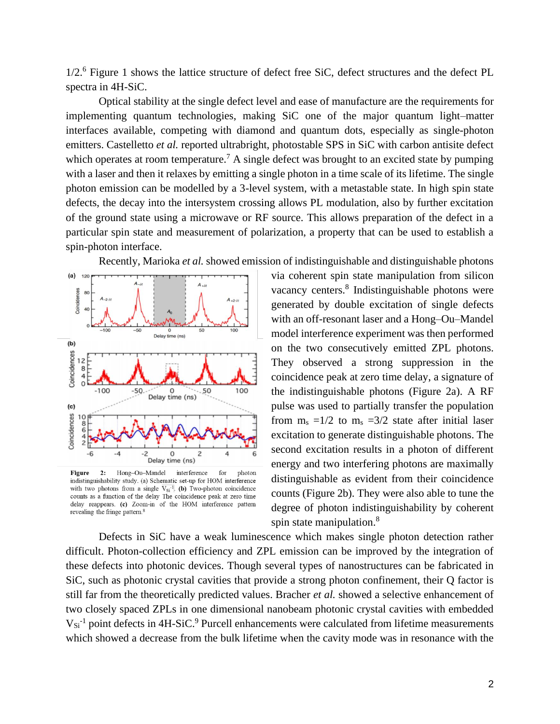1/2.<sup>6</sup> Figure 1 shows the lattice structure of defect free SiC, defect structures and the defect PL spectra in 4H-SiC.

Optical stability at the single defect level and ease of manufacture are the requirements for implementing quantum technologies, making SiC one of the major quantum light–matter interfaces available, competing with diamond and quantum dots, especially as single-photon emitters. Castelletto *et al.* reported ultrabright, photostable SPS in SiC with carbon antisite defect which operates at room temperature.<sup>7</sup> A single defect was brought to an excited state by pumping with a laser and then it relaxes by emitting a single photon in a time scale of its lifetime. The single photon emission can be modelled by a 3-level system, with a metastable state. In high spin state defects, the decay into the intersystem crossing allows PL modulation, also by further excitation of the ground state using a microwave or RF source. This allows preparation of the defect in a particular spin state and measurement of polarization, a property that can be used to establish a spin-photon interface.

Recently, Marioka *et al.* showed emission of indistinguishable and distinguishable photons



Hong-Ou-Mandel Figure  $2:$ interference for photon indistinguishability study. (a) Schematic set-up for HOM interference with two photons from a single  $V_{Si}^{-1}$ . (b) Two-photon coincidence counts as a function of the delay The coincidence peak at zero time delay reappears. (c) Zoom-in of the HOM interference pattern revealing the fringe pattern.<sup>8</sup>

via coherent spin state manipulation from silicon vacancy centers.<sup>8</sup> Indistinguishable photons were generated by double excitation of single defects with an off-resonant laser and a Hong–Ou–Mandel model interference experiment was then performed on the two consecutively emitted ZPL photons. They observed a strong suppression in the coincidence peak at zero time delay, a signature of the indistinguishable photons (Figure 2a). A RF pulse was used to partially transfer the population from  $m_s = 1/2$  to  $m_s = 3/2$  state after initial laser excitation to generate distinguishable photons. The second excitation results in a photon of different energy and two interfering photons are maximally distinguishable as evident from their coincidence counts (Figure 2b). They were also able to tune the degree of photon indistinguishability by coherent spin state manipulation.<sup>8</sup>

Defects in SiC have a weak luminescence which makes single photon detection rather difficult. Photon-collection efficiency and ZPL emission can be improved by the integration of these defects into photonic devices. Though several types of nanostructures can be fabricated in SiC, such as photonic crystal cavities that provide a strong photon confinement, their Q factor is still far from the theoretically predicted values. Bracher *et al.* showed a selective enhancement of two closely spaced ZPLs in one dimensional nanobeam photonic crystal cavities with embedded  $V_{Si}$ <sup>-1</sup> point defects in 4H-SiC.<sup>9</sup> Purcell enhancements were calculated from lifetime measurements which showed a decrease from the bulk lifetime when the cavity mode was in resonance with the